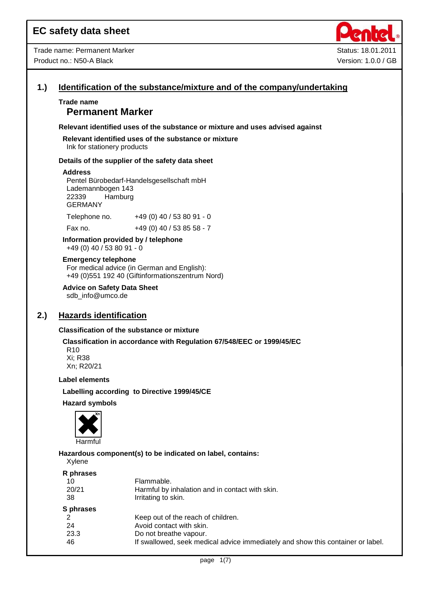

# **1.) Identification of the substance/mixture and of the company/undertaking**

# **Trade name Permanent Marker**

**Relevant identified uses of the substance or mixture and uses advised against**

**Relevant identified uses of the substance or mixture** Ink for stationery products

#### **Details of the supplier of the safety data sheet**

#### **Address**

Pentel Bürobedarf-Handelsgesellschaft mbH Lademannbogen 143 22339 Hamburg GERMANY

Telephone no. +49 (0) 40 / 53 80 91 - 0

Fax no. +49 (0) 40 / 53 85 58 - 7

**Information provided by / telephone** +49 (0) 40 / 53 80 91 - 0

### **Emergency telephone**

For medical advice (in German and English): +49 (0)551 192 40 (Giftinformationszentrum Nord)

**Advice on Safety Data Sheet** sdb\_info@umco.de

# **2.) Hazards identification**

#### **Classification of the substance or mixture**

# **Classification in accordance with Regulation 67/548/EEC or 1999/45/EC**

R10 Xi; R38 Xn; R20/21

#### **Label elements**

**Labelling according to Directive 1999/45/CE**

#### **Hazard symbols**



**Hazardous component(s) to be indicated on label, contains:**

Xylene

#### **R phrases**

| . . p uvvv |                                                                                 |
|------------|---------------------------------------------------------------------------------|
| 10         | Flammable.                                                                      |
| 20/21      | Harmful by inhalation and in contact with skin.                                 |
| 38         | Irritating to skin.                                                             |
| S phrases  |                                                                                 |
|            | Keep out of the reach of children.                                              |
| -24        | Avoid contact with skin.                                                        |
| 23.3       | Do not breathe vapour.                                                          |
| 46         | If swallowed, seek medical advice immediately and show this container or label. |
|            |                                                                                 |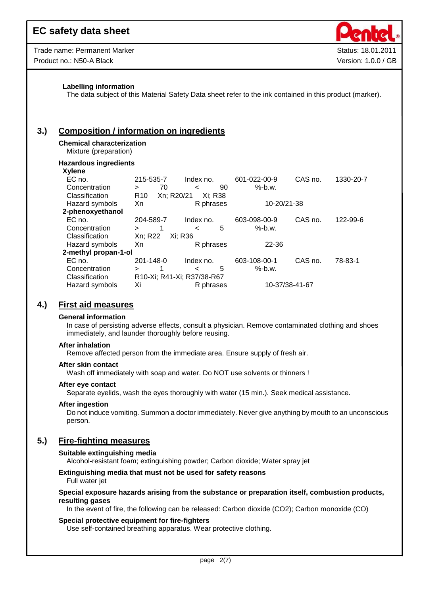| Trade name: Permanent Marker |
|------------------------------|
| Product no.: N50-A Black     |



#### **Labelling information**

The data subject of this Material Safety Data sheet refer to the ink contained in this product (marker).

# **3.) Composition / information on ingredients**

## **Chemical characterization**

Mixture (preparation)

#### **Hazardous ingredients**

**Xylene**

| лукны                |                 |            |                            |    |              |                |           |
|----------------------|-----------------|------------|----------------------------|----|--------------|----------------|-----------|
| EC no.               | 215-535-7       |            | Index no.                  |    | 601-022-00-9 | CAS no.        | 1330-20-7 |
| Concentration        | ⋗               | 70         | $\,<\,$                    | 90 | $%$ -b.w.    |                |           |
| Classification       | R <sub>10</sub> | Xn; R20/21 | Xi: R38                    |    |              |                |           |
| Hazard symbols       | Xn              |            | R phrases                  |    | 10-20/21-38  |                |           |
| 2-phenoxyethanol     |                 |            |                            |    |              |                |           |
| EC no.               | 204-589-7       |            | Index no.                  |    | 603-098-00-9 | CAS no.        | 122-99-6  |
| Concentration        | $\geq$          |            | $\,<\,$                    | 5  | $%$ -b.w.    |                |           |
| Classification       | Xn: R22         | Xi: R36    |                            |    |              |                |           |
| Hazard symbols       | Xn              |            | R phrases                  |    | 22-36        |                |           |
| 2-methyl propan-1-ol |                 |            |                            |    |              |                |           |
| EC no.               | 201-148-0       |            | Index no.                  |    | 603-108-00-1 | CAS no.        | 78-83-1   |
| Concentration        | $\geq$          | 1          | $\,<\,$                    | 5  | $%$ -b.w.    |                |           |
| Classification       |                 |            | R10-Xi; R41-Xi; R37/38-R67 |    |              |                |           |
| Hazard symbols       | Xi              |            | R phrases                  |    |              | 10-37/38-41-67 |           |
|                      |                 |            |                            |    |              |                |           |

# **4.) First aid measures**

#### **General information**

In case of persisting adverse effects, consult a physician. Remove contaminated clothing and shoes immediately, and launder thoroughly before reusing.

#### **After inhalation**

Remove affected person from the immediate area. Ensure supply of fresh air.

#### **After skin contact**

Wash off immediately with soap and water. Do NOT use solvents or thinners !

#### **After eye contact**

Separate eyelids, wash the eyes thoroughly with water (15 min.). Seek medical assistance.

#### **After ingestion**

Do not induce vomiting. Summon a doctor immediately. Never give anything by mouth to an unconscious person.

# **5.) Fire-fighting measures**

#### **Suitable extinguishing media**

Alcohol-resistant foam; extinguishing powder; Carbon dioxide; Water spray jet

#### **Extinguishing media that must not be used for safety reasons** Full water jet

## **Special exposure hazards arising from the substance or preparation itself, combustion products, resulting gases**

In the event of fire, the following can be released: Carbon dioxide (CO2); Carbon monoxide (CO)

#### **Special protective equipment for fire-fighters**

Use self-contained breathing apparatus. Wear protective clothing.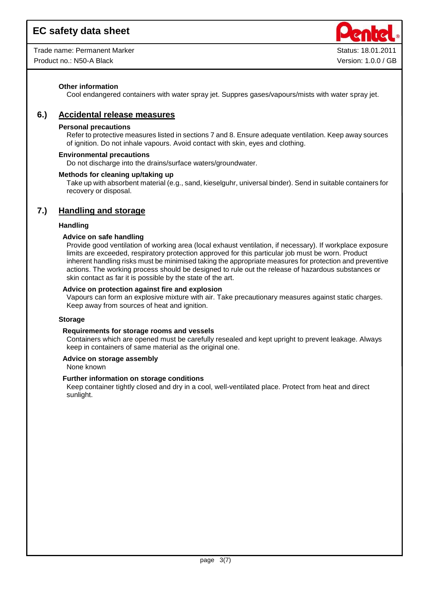Trade name: Permanent Marker Status: 18.01.2011

Product no.: N50-A Black Contract Contract Contract Contract Contract Contract Contract Contract Contract Contract Contract Contract Contract Version: 1.0.0 / GB



# **Other information**

Cool endangered containers with water spray jet. Suppres gases/vapours/mists with water spray jet.

# **6.) Accidental release measures**

# **Personal precautions**

Refer to protective measures listed in sections 7 and 8. Ensure adequate ventilation. Keep away sources of ignition. Do not inhale vapours. Avoid contact with skin, eyes and clothing.

## **Environmental precautions**

Do not discharge into the drains/surface waters/groundwater.

## **Methods for cleaning up/taking up**

Take up with absorbent material (e.g., sand, kieselguhr, universal binder). Send in suitable containers for recovery or disposal.

# **7.) Handling and storage**

## **Handling**

## **Advice on safe handling**

Provide good ventilation of working area (local exhaust ventilation, if necessary). If workplace exposure limits are exceeded, respiratory protection approved for this particular job must be worn. Product inherent handling risks must be minimised taking the appropriate measures for protection and preventive actions. The working process should be designed to rule out the release of hazardous substances or skin contact as far it is possible by the state of the art.

## **Advice on protection against fire and explosion**

Vapours can form an explosive mixture with air. Take precautionary measures against static charges. Keep away from sources of heat and ignition.

#### **Storage**

#### **Requirements for storage rooms and vessels**

Containers which are opened must be carefully resealed and kept upright to prevent leakage. Always keep in containers of same material as the original one.

# **Advice on storage assembly**

None known

# **Further information on storage conditions**

Keep container tightly closed and dry in a cool, well-ventilated place. Protect from heat and direct sunlight.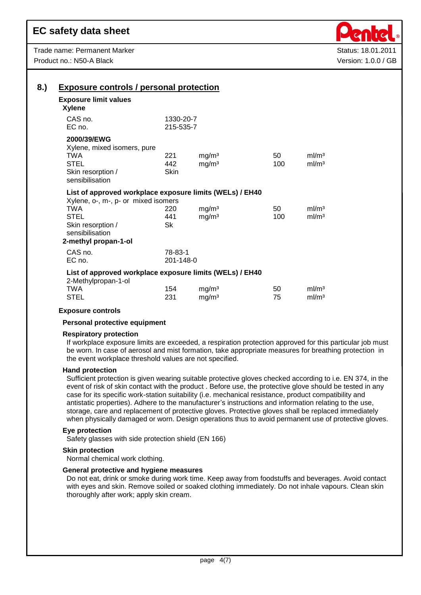

| <b>Exposure limit values</b><br><b>Xylene</b>                                                   |                        |                   |     |                   |
|-------------------------------------------------------------------------------------------------|------------------------|-------------------|-----|-------------------|
| CAS no.<br>EC no.                                                                               | 1330-20-7<br>215-535-7 |                   |     |                   |
| 2000/39/EWG<br>Xylene, mixed isomers, pure                                                      |                        |                   |     |                   |
| <b>TWA</b>                                                                                      | 221                    | mg/m <sup>3</sup> | 50  | ml/m <sup>3</sup> |
| <b>STEL</b>                                                                                     | 442                    | mg/m <sup>3</sup> | 100 | ml/m <sup>3</sup> |
| Skin resorption /<br>sensibilisation                                                            | Skin                   |                   |     |                   |
| List of approved workplace exposure limits (WELs) / EH40<br>Xylene, o-, m-, p- or mixed isomers |                        |                   |     |                   |
| <b>TWA</b>                                                                                      | 220                    | mg/m <sup>3</sup> | 50  | ml/m <sup>3</sup> |
| <b>STEL</b>                                                                                     | 441                    | mg/m <sup>3</sup> | 100 | ml/m <sup>3</sup> |
| Skin resorption /                                                                               | <b>Sk</b>              |                   |     |                   |
| sensibilisation                                                                                 |                        |                   |     |                   |
| 2-methyl propan-1-ol                                                                            |                        |                   |     |                   |
| CAS no.                                                                                         | 78-83-1                |                   |     |                   |
| EC no.                                                                                          | 201-148-0              |                   |     |                   |
| List of approved workplace exposure limits (WELs) / EH40<br>2-Methylpropan-1-ol                 |                        |                   |     |                   |
| <b>TWA</b>                                                                                      | 154                    | mg/m <sup>3</sup> | 50  | ml/m <sup>3</sup> |
| STEL                                                                                            | 231                    | mg/m <sup>3</sup> | 75  | ml/m <sup>3</sup> |

#### **Exposure controls**

## **Personal protective equipment**

#### **Respiratory protection**

If workplace exposure limits are exceeded, a respiration protection approved for this particular job must be worn. In case of aerosol and mist formation, take appropriate measures for breathing protection in the event workplace threshold values are not specified.

#### **Hand protection**

Sufficient protection is given wearing suitable protective gloves checked according to i.e. EN 374, in the event of risk of skin contact with the product . Before use, the protective glove should be tested in any case for its specific work-station suitability (i.e. mechanical resistance, product compatibility and antistatic properties). Adhere to the manufacturer's instructions and information relating to the use, storage, care and replacement of protective gloves. Protective gloves shall be replaced immediately when physically damaged or worn. Design operations thus to avoid permanent use of protective gloves.

## **Eye protection**

Safety glasses with side protection shield (EN 166)

#### **Skin protection**

Normal chemical work clothing.

#### **General protective and hygiene measures**

Do not eat, drink or smoke during work time. Keep away from foodstuffs and beverages. Avoid contact with eyes and skin. Remove soiled or soaked clothing immediately. Do not inhale vapours. Clean skin thoroughly after work; apply skin cream.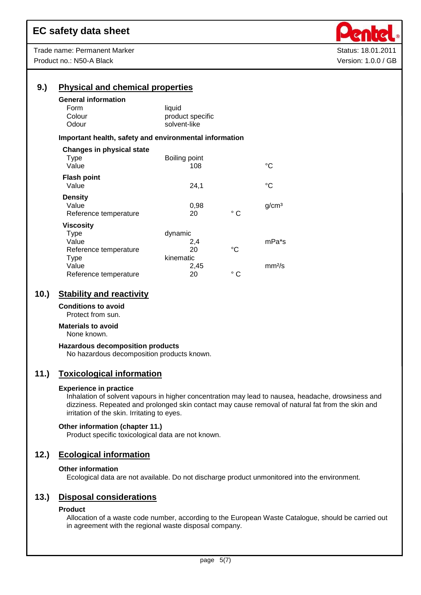| Trade name: Permanent Marker |
|------------------------------|
| Product no.: N50-A Black     |



Status: 18.01.2011 Version: 1.0.0 / GB

| 9.) | <b>Physical and chemical properties</b>                |                  |              |                    |  |  |  |
|-----|--------------------------------------------------------|------------------|--------------|--------------------|--|--|--|
|     | <b>General information</b>                             |                  |              |                    |  |  |  |
|     | Form                                                   | liquid           |              |                    |  |  |  |
|     | Colour                                                 | product specific |              |                    |  |  |  |
|     | Odour                                                  | solvent-like     |              |                    |  |  |  |
|     | Important health, safety and environmental information |                  |              |                    |  |  |  |
|     | <b>Changes in physical state</b>                       |                  |              |                    |  |  |  |
|     | <b>Type</b>                                            | Boiling point    |              |                    |  |  |  |
|     | Value                                                  | 108              |              | °C                 |  |  |  |
|     | <b>Flash point</b>                                     |                  |              |                    |  |  |  |
|     | Value                                                  | 24,1             |              | °C                 |  |  |  |
|     | <b>Density</b>                                         |                  |              |                    |  |  |  |
|     | Value                                                  | 0,98             |              | g/cm <sup>3</sup>  |  |  |  |
|     | Reference temperature                                  | 20               | $^{\circ}$ C |                    |  |  |  |
|     | <b>Viscosity</b>                                       |                  |              |                    |  |  |  |
|     | <b>Type</b>                                            | dynamic          |              |                    |  |  |  |
|     | Value                                                  | 2,4              |              | mPa*s              |  |  |  |
|     | Reference temperature                                  | 20               | °C           |                    |  |  |  |
|     | <b>Type</b>                                            | kinematic        |              |                    |  |  |  |
|     | Value                                                  | 2,45             |              | mm <sup>2</sup> /s |  |  |  |
|     | Reference temperature                                  | 20               | $^{\circ}$ C |                    |  |  |  |

# **10.) Stability and reactivity**

# **Conditions to avoid**

Protect from sun.

# **Materials to avoid**

None known.

# **Hazardous decomposition products**

No hazardous decomposition products known.

# **11.) Toxicological information**

#### **Experience in practice**

Inhalation of solvent vapours in higher concentration may lead to nausea, headache, drowsiness and dizziness. Repeated and prolonged skin contact may cause removal of natural fat from the skin and irritation of the skin. Irritating to eyes.

#### **Other information (chapter 11.)**

Product specific toxicological data are not known.

# **12.) Ecological information**

#### **Other information**

Ecological data are not available. Do not discharge product unmonitored into the environment.

# **13.) Disposal considerations**

#### **Product**

Allocation of a waste code number, according to the European Waste Catalogue, should be carried out in agreement with the regional waste disposal company.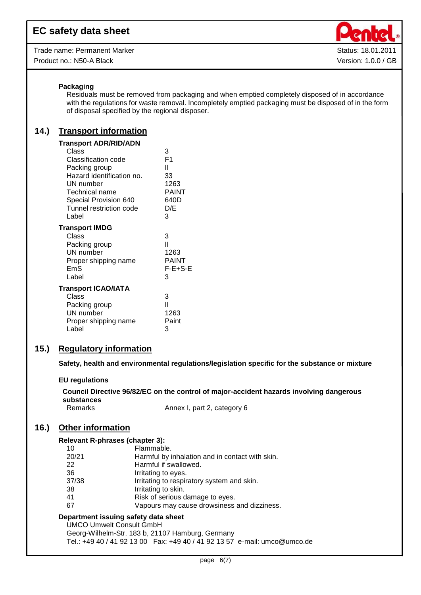Trade name: Permanent Marker Status: 18.01.2011 Product no.: N50-A Black **Version: 1.0.0 / GB** 



# **Packaging**

Residuals must be removed from packaging and when emptied completely disposed of in accordance with the regulations for waste removal. Incompletely emptied packaging must be disposed of in the form of disposal specified by the regional disposer.

# **14.) Transport information**

| Transport ADR/RID/ADN                                                                                                                                                  |                                                                            |
|------------------------------------------------------------------------------------------------------------------------------------------------------------------------|----------------------------------------------------------------------------|
| Class<br>Classification code<br>Packing group<br>Hazard identification no.<br>UN number<br>Technical name<br>Special Provision 640<br>Tunnel restriction code<br>Label | 3<br>F <sub>1</sub><br>Ш<br>33<br>1263<br><b>PAINT</b><br>640D<br>D/E<br>3 |
| Transport IMDG                                                                                                                                                         |                                                                            |
| Class<br>Packing group<br>UN number<br>Proper shipping name<br>EmS<br>Label                                                                                            | 3<br>Ш<br>1263<br>PAINT<br>$F-E+S-E$<br>3                                  |
| <b>Transport ICAO/IATA</b>                                                                                                                                             |                                                                            |
| Class<br>Packing group<br>UN number<br>Proper shipping name<br>Label                                                                                                   | 3<br>Ш<br>1263<br>Paint<br>3                                               |
|                                                                                                                                                                        |                                                                            |

# **15.) Regulatory information**

**Safety, health and environmental regulations/legislation specific for the substance or mixture**

# **EU regulations**

**Council Directive 96/82/EC on the control of major-accident hazards involving dangerous substances** Remarks **Annex I**, part 2, category 6

# **16.) Other information**

#### **Relevant R-phrases (chapter 3):**

| 10    | Flammable.                                      |
|-------|-------------------------------------------------|
| 20/21 | Harmful by inhalation and in contact with skin. |
| 22    | Harmful if swallowed.                           |
| 36    | Irritating to eyes.                             |
| 37/38 | Irritating to respiratory system and skin.      |
| 38    | Irritating to skin.                             |
| 41    | Risk of serious damage to eyes.                 |
| 67    | Vapours may cause drowsiness and dizziness.     |

## **Department issuing safety data sheet**

UMCO Umwelt Consult GmbH Georg-Wilhelm-Str. 183 b, 21107 Hamburg, Germany Tel.: +49 40 / 41 92 13 00 Fax: +49 40 / 41 92 13 57 e-mail: umco@umco.de